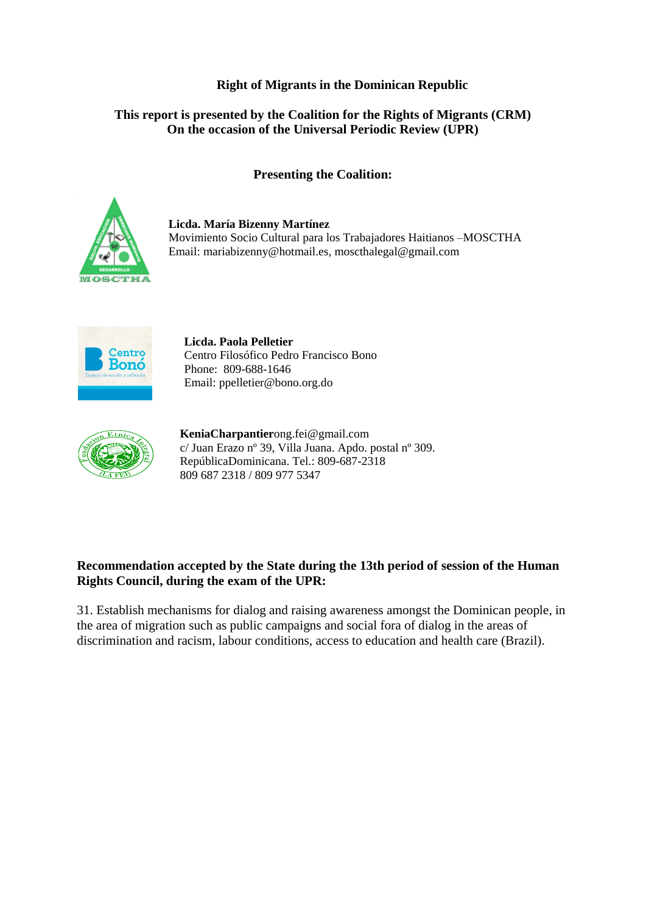# **Right of Migrants in the Dominican Republic**

# **This report is presented by the Coalition for the Rights of Migrants (CRM) On the occasion of the Universal Periodic Review (UPR)**

## **Presenting the Coalition:**



**Licda. María Bizenny Martínez** Movimiento Socio Cultural para los Trabajadores Haitianos –MOSCTHA Email: [mariabizenny@hotmail.es,](mailto:mariabizenny@hotmail.es) [moscthalegal@gmail.com](mailto:moscthalegal@gmail.com)



**Licda. Paola Pelletier** Centro Filosófico Pedro Francisco Bono Phone: 809-688-1646 Email: [ppelletier@bono.org.do](mailto:ppelletier@bono.org.do)



**KeniaCharpantier**[ong.fei@gmail.com](mailto:ong.fei@gmail.com) c/ Juan Erazo nº 39, Villa Juana. Apdo. postal nº 309. RepúblicaDominicana. Tel.: 809-687-2318 809 687 2318 / 809 977 5347

# **Recommendation accepted by the State during the 13th period of session of the Human Rights Council, during the exam of the UPR:**

31. Establish mechanisms for dialog and raising awareness amongst the Dominican people, in the area of migration such as public campaigns and social fora of dialog in the areas of discrimination and racism, labour conditions, access to education and health care (Brazil).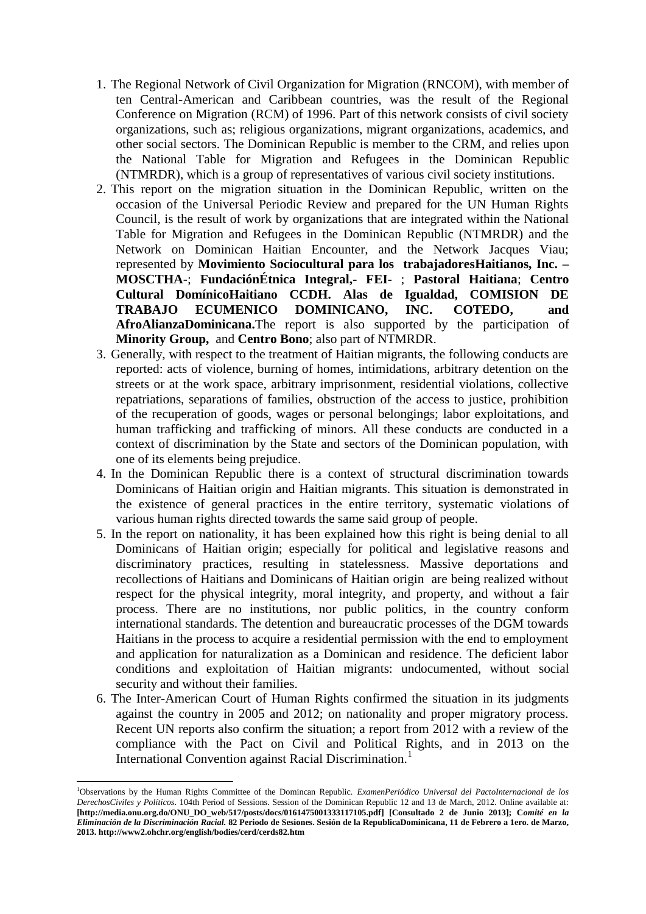- 1. The Regional Network of Civil Organization for Migration (RNCOM), with member of ten Central-American and Caribbean countries, was the result of the Regional Conference on Migration (RCM) of 1996. Part of this network consists of civil society organizations, such as; religious organizations, migrant organizations, academics, and other social sectors. The Dominican Republic is member to the CRM, and relies upon the National Table for Migration and Refugees in the Dominican Republic (NTMRDR), which is a group of representatives of various civil society institutions.
- 2. This report on the migration situation in the Dominican Republic, written on the occasion of the Universal Periodic Review and prepared for the UN Human Rights Council, is the result of work by organizations that are integrated within the National Table for Migration and Refugees in the Dominican Republic (NTMRDR) and the Network on Dominican Haitian Encounter, and the Network Jacques Viau; represented by **Movimiento Sociocultural para los trabajadoresHaitianos, Inc. – MOSCTHA**-; **FundaciónÉtnica Integral,- FEI-** ; **Pastoral Haitiana**; **Centro Cultural DomínicoHaitiano CCDH. Alas de Igualdad, COMISION DE TRABAJO ECUMENICO DOMINICANO, INC. COTEDO, and AfroAlianzaDominicana.**The report is also supported by the participation of **Minority Group,** and **Centro Bono**; also part of NTMRDR.
- 3. Generally, with respect to the treatment of Haitian migrants, the following conducts are reported: acts of violence, burning of homes, intimidations, arbitrary detention on the streets or at the work space, arbitrary imprisonment, residential violations, collective repatriations, separations of families, obstruction of the access to justice, prohibition of the recuperation of goods, wages or personal belongings; labor exploitations, and human trafficking and trafficking of minors. All these conducts are conducted in a context of discrimination by the State and sectors of the Dominican population, with one of its elements being prejudice.
- 4. In the Dominican Republic there is a context of structural discrimination towards Dominicans of Haitian origin and Haitian migrants. This situation is demonstrated in the existence of general practices in the entire territory, systematic violations of various human rights directed towards the same said group of people.
- 5. In the report on nationality, it has been explained how this right is being denial to all Dominicans of Haitian origin; especially for political and legislative reasons and discriminatory practices, resulting in statelessness. Massive deportations and recollections of Haitians and Dominicans of Haitian origin are being realized without respect for the physical integrity, moral integrity, and property, and without a fair process. There are no institutions, nor public politics, in the country conform international standards. The detention and bureaucratic processes of the DGM towards Haitians in the process to acquire a residential permission with the end to employment and application for naturalization as a Dominican and residence. The deficient labor conditions and exploitation of Haitian migrants: undocumented, without social security and without their families.
- 6. The Inter-American Court of Human Rights confirmed the situation in its judgments against the country in 2005 and 2012; on nationality and proper migratory process. Recent UN reports also confirm the situation; a report from 2012 with a review of the compliance with the Pact on Civil and Political Rights, and in 2013 on the International Convention against Racial Discrimination.<sup>1</sup>

.

<sup>1</sup>Observations by the Human Rights Committee of the Domincan Republic. *ExamenPeriódico Universal del PactoInternacional de los DerechosCiviles y Políticos*. 104th Period of Sessions. Session of the Dominican Republic 12 and 13 de March, 2012. Online available at: **[http://media.onu.org.do/ONU\_DO\_web/517/posts/docs/0161475001333117105.pdf] [Consultado 2 de Junio 2013]; C***omité en la Eliminación de la Discriminación Racial.* **82 Periodo de Sesiones. Sesión de la RepublicaDominicana, 11 de Febrero a 1ero. de Marzo, 2013.<http://www2.ohchr.org/english/bodies/cerd/cerds82.htm>**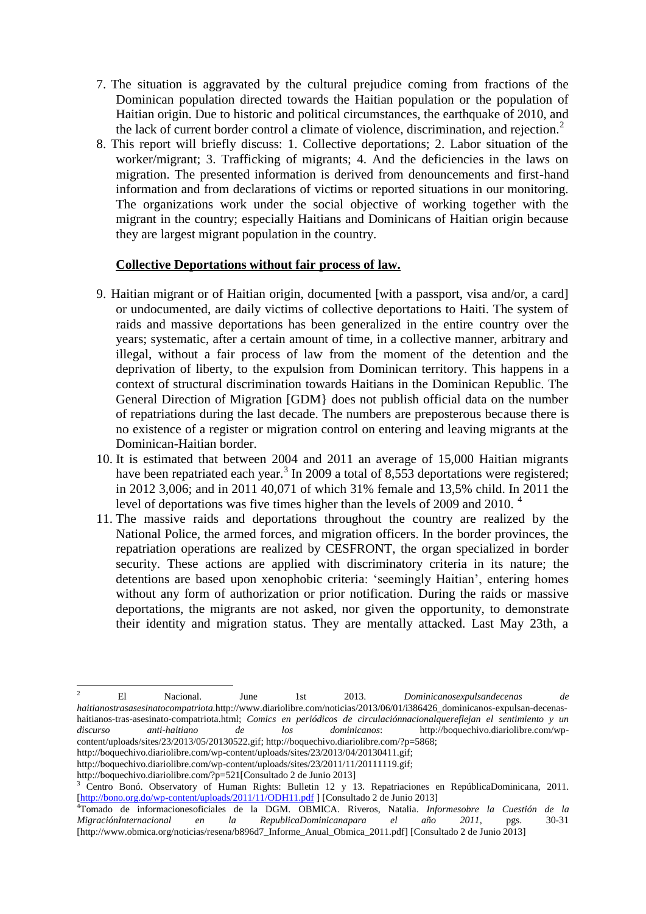- 7. The situation is aggravated by the cultural prejudice coming from fractions of the Dominican population directed towards the Haitian population or the population of Haitian origin. Due to historic and political circumstances, the earthquake of 2010, and the lack of current border control a climate of violence, discrimination, and rejection. $2$
- 8. This report will briefly discuss: 1. Collective deportations; 2. Labor situation of the worker/migrant; 3. Trafficking of migrants; 4. And the deficiencies in the laws on migration. The presented information is derived from denouncements and first-hand information and from declarations of victims or reported situations in our monitoring. The organizations work under the social objective of working together with the migrant in the country; especially Haitians and Dominicans of Haitian origin because they are largest migrant population in the country.

### **Collective Deportations without fair process of law.**

- 9. Haitian migrant or of Haitian origin, documented [with a passport, visa and/or, a card] or undocumented, are daily victims of collective deportations to Haiti. The system of raids and massive deportations has been generalized in the entire country over the years; systematic, after a certain amount of time, in a collective manner, arbitrary and illegal, without a fair process of law from the moment of the detention and the deprivation of liberty, to the expulsion from Dominican territory. This happens in a context of structural discrimination towards Haitians in the Dominican Republic. The General Direction of Migration [GDM} does not publish official data on the number of repatriations during the last decade. The numbers are preposterous because there is no existence of a register or migration control on entering and leaving migrants at the Dominican-Haitian border.
- 10. It is estimated that between 2004 and 2011 an average of 15,000 Haitian migrants have been repatriated each year.<sup>3</sup> In 2009 a total of 8,553 deportations were registered; in 2012 3,006; and in 2011 40,071 of which 31% female and 13,5% child. In 2011 the level of deportations was five times higher than the levels of 2009 and 2010.<sup>4</sup>
- 11. The massive raids and deportations throughout the country are realized by the National Police, the armed forces, and migration officers. In the border provinces, the repatriation operations are realized by CESFRONT, the organ specialized in border security. These actions are applied with discriminatory criteria in its nature; the detentions are based upon xenophobic criteria: 'seemingly Haitian', entering homes without any form of authorization or prior notification. During the raids or massive deportations, the migrants are not asked, nor given the opportunity, to demonstrate their identity and migration status. They are mentally attacked. Last May 23th, a

[http://boquechivo.diariolibre.com/wp-content/uploads/sites/23/2013/04/20130411.gif;](http://boquechivo.diariolibre.com/wp-content/uploads/sites/23/2013/04/20130411.gif)

.

<sup>2</sup> El Nacional. June 1st 2013. *Dominicanosexpulsandecenas de haitianostrasasesinatocompatriota.*[http://www.diariolibre.com/noticias/2013/06/01/i386426\\_dominicanos-expulsan-decenas](http://www.diariolibre.com/noticias/2013/06/01/i386426_dominicanos-expulsan-decenas-haitianos-tras-asesinato-compatriota.html)[haitianos-tras-asesinato-compatriota.html;](http://www.diariolibre.com/noticias/2013/06/01/i386426_dominicanos-expulsan-decenas-haitianos-tras-asesinato-compatriota.html) *Comics en periódicos de circulaciónnacionalquereflejan el sentimiento y un discurso anti-haitiano de los dominicanos*: [http://boquechivo.diariolibre.com/wp](http://boquechivo.diariolibre.com/wp-content/uploads/sites/23/2013/05/20130522.gif)[content/uploads/sites/23/2013/05/20130522.gif;](http://boquechivo.diariolibre.com/wp-content/uploads/sites/23/2013/05/20130522.gif) [http://boquechivo.diariolibre.com/?p=5868;](http://boquechivo.diariolibre.com/?p=5868)

[http://boquechivo.diariolibre.com/wp-content/uploads/sites/23/2011/11/20111119.gif;](http://boquechivo.diariolibre.com/wp-content/uploads/sites/23/2011/11/20111119.gif)

[http://boquechivo.diariolibre.com/?p=521\[](http://boquechivo.diariolibre.com/?p=521)Consultado 2 de Junio 2013]

<sup>3</sup> Centro Bonó. Observatory of Human Rights: Bulletin 12 y 13. Repatriaciones en RepúblicaDominicana, 2011. [\[http://bono.org.do/wp-content/uploads/2011/11/ODH11.pdf](http://bono.org.do/wp-content/uploads/2011/11/ODH11.pdf) ] [Consultado 2 de Junio 2013]

<sup>4</sup>Tomado de informacionesoficiales de la DGM. OBMICA. Riveros, Natalia. *Informesobre la Cuestión de la MigraciónInternacional en la RepublicaDominicanapara el año 2011*, pgs. 30-31 [\[http://www.obmica.org/noticias/resena/b896d7\\_Informe\\_Anual\\_Obmica\\_2011.pdf\]](http://www.obmica.org/noticias/resena/b896d7_Informe_Anual_Obmica_2011.pdf) [Consultado 2 de Junio 2013]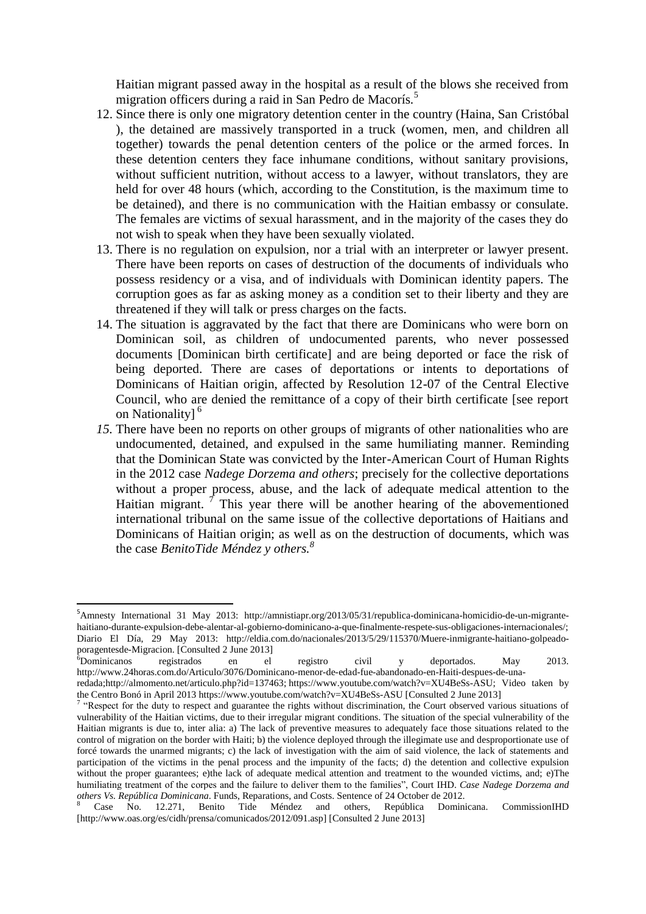Haitian migrant passed away in the hospital as a result of the blows she received from migration officers during a raid in San Pedro de Macorís.<sup>5</sup>

- 12. Since there is only one migratory detention center in the country (Haina, San Cristóbal ), the detained are massively transported in a truck (women, men, and children all together) towards the penal detention centers of the police or the armed forces. In these detention centers they face inhumane conditions, without sanitary provisions, without sufficient nutrition, without access to a lawyer, without translators, they are held for over 48 hours (which, according to the Constitution, is the maximum time to be detained), and there is no communication with the Haitian embassy or consulate. The females are victims of sexual harassment, and in the majority of the cases they do not wish to speak when they have been sexually violated.
- 13. There is no regulation on expulsion, nor a trial with an interpreter or lawyer present. There have been reports on cases of destruction of the documents of individuals who possess residency or a visa, and of individuals with Dominican identity papers. The corruption goes as far as asking money as a condition set to their liberty and they are threatened if they will talk or press charges on the facts.
- 14. The situation is aggravated by the fact that there are Dominicans who were born on Dominican soil, as children of undocumented parents, who never possessed documents [Dominican birth certificate] and are being deported or face the risk of being deported. There are cases of deportations or intents to deportations of Dominicans of Haitian origin, affected by Resolution 12-07 of the Central Elective Council, who are denied the remittance of a copy of their birth certificate [see report on Nationality]<sup>6</sup>
- *15.* There have been no reports on other groups of migrants of other nationalities who are undocumented, detained, and expulsed in the same humiliating manner. Reminding that the Dominican State was convicted by the Inter-American Court of Human Rights in the 2012 case *Nadege Dorzema and others*; precisely for the collective deportations without a proper process, abuse, and the lack of adequate medical attention to the Haitian migrant.  $\overline{f}$  This year there will be another hearing of the abovementioned international tribunal on the same issue of the collective deportations of Haitians and Dominicans of Haitian origin; as well as on the destruction of documents, which was the case *BenitoTide Méndez y others.<sup>8</sup>*

1

 ${}^{6}$ Dominicanos registrados en el registro civil y deportados. May 2013. [http://www.24horas.com.do/Articulo/3076/Dominicano-menor-de-edad-fue-abandonado-en-Haiti-despues-de-una](http://www.24horas.com.do/Articulo/3076/Dominicano-menor-de-edad-fue-abandonado-en-Haiti-despues-de-una-%20redada)[redada](http://www.24horas.com.do/Articulo/3076/Dominicano-menor-de-edad-fue-abandonado-en-Haiti-despues-de-una-%20redada)[;http://almomento.net/articulo.php?id=137463;](http://almomento.net/articulo.php?id=137463) [https://www.youtube.com/watch?v=XU4BeSs-ASU;](https://www.youtube.com/watch?v=XU4BeSs-ASU) Video taken by

<sup>5</sup>Amnesty International 31 May 2013: [http://amnistiapr.org/2013/05/31/republica-dominicana-homicidio-de-un-migrante](http://amnistiapr.org/2013/05/31/republica-dominicana-homicidio-de-un-migrante-haitiano-durante-expulsion-debe-alentar-al-gobierno-dominicano-a-que-finalmente-respete-sus-obligaciones-internacionales/)[haitiano-durante-expulsion-debe-alentar-al-gobierno-dominicano-a-que-finalmente-respete-sus-obligaciones-internacionales/;](http://amnistiapr.org/2013/05/31/republica-dominicana-homicidio-de-un-migrante-haitiano-durante-expulsion-debe-alentar-al-gobierno-dominicano-a-que-finalmente-respete-sus-obligaciones-internacionales/) Diario El Día, 29 May 2013: [http://eldia.com.do/nacionales/2013/5/29/115370/Muere-inmigrante-haitiano-golpeado](http://eldia.com.do/nacionales/2013/5/29/115370/Muere-inmigrante-haitiano-golpeado-poragentesde-Migracion)[poragentesde-Migracion.](http://eldia.com.do/nacionales/2013/5/29/115370/Muere-inmigrante-haitiano-golpeado-poragentesde-Migracion) [Consulted 2 June 2013]<br><sup>6</sup>Dominicanos registrados en el

the Centro Bonó in April 201[3 https://www.youtube.com/watch?v=XU4BeSs-ASU](https://www.youtube.com/watch?v=XU4BeSs-ASU) [Consulted 2 June 2013]

<sup>&</sup>lt;sup>7</sup> "Respect for the duty to respect and guarantee the rights without discrimination, the Court observed various situations of vulnerability of the Haitian victims, due to their irregular migrant conditions. The situation of the special vulnerability of the Haitian migrants is due to, inter alia: a) The lack of preventive measures to adequately face those situations related to the control of migration on the border with Haiti; b) the violence deployed through the illegimate use and desproportionate use of forcé towards the unarmed migrants; c) the lack of investigation with the aim of said violence, the lack of statements and participation of the victims in the penal process and the impunity of the facts; d) the detention and collective expulsion without the proper guarantees; e)the lack of adequate medical attention and treatment to the wounded victims, and; e)The humiliating treatment of the corpes and the failure to deliver them to the families", Court IHD. *Case Nadege Dorzema and others Vs. República Dominicana*. Funds, Reparations, and Costs. Sentence of 24 October de 2012.

<sup>8</sup> Case No. 12.271, Benito Tide Méndez and others, República Dominicana. CommissionIHD [\[http://www.oas.org/es/cidh/prensa/comunicados/2012/091.asp\]](http://www.oas.org/es/cidh/prensa/comunicados/2012/091.asp) [Consulted 2 June 2013]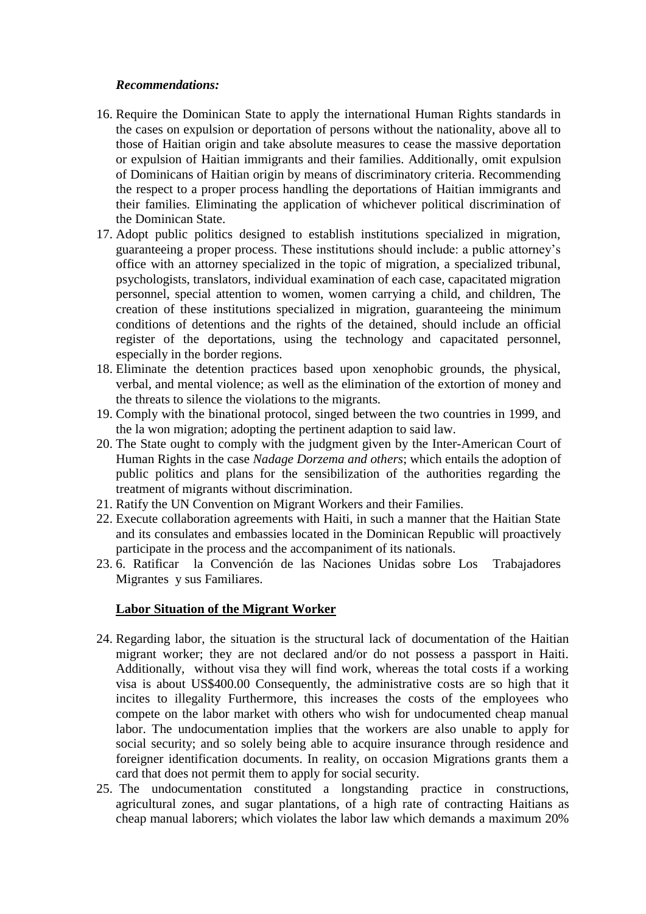### *Recommendations:*

- 16. Require the Dominican State to apply the international Human Rights standards in the cases on expulsion or deportation of persons without the nationality, above all to those of Haitian origin and take absolute measures to cease the massive deportation or expulsion of Haitian immigrants and their families. Additionally, omit expulsion of Dominicans of Haitian origin by means of discriminatory criteria. Recommending the respect to a proper process handling the deportations of Haitian immigrants and their families. Eliminating the application of whichever political discrimination of the Dominican State.
- 17. Adopt public politics designed to establish institutions specialized in migration, guaranteeing a proper process. These institutions should include: a public attorney's office with an attorney specialized in the topic of migration, a specialized tribunal, psychologists, translators, individual examination of each case, capacitated migration personnel, special attention to women, women carrying a child, and children, The creation of these institutions specialized in migration, guaranteeing the minimum conditions of detentions and the rights of the detained, should include an official register of the deportations, using the technology and capacitated personnel, especially in the border regions.
- 18. Eliminate the detention practices based upon xenophobic grounds, the physical, verbal, and mental violence; as well as the elimination of the extortion of money and the threats to silence the violations to the migrants.
- 19. Comply with the binational protocol, singed between the two countries in 1999, and the la won migration; adopting the pertinent adaption to said law.
- 20. The State ought to comply with the judgment given by the Inter-American Court of Human Rights in the case *Nadage Dorzema and others*; which entails the adoption of public politics and plans for the sensibilization of the authorities regarding the treatment of migrants without discrimination.
- 21. Ratify the UN Convention on Migrant Workers and their Families.
- 22. Execute collaboration agreements with Haiti, in such a manner that the Haitian State and its consulates and embassies located in the Dominican Republic will proactively participate in the process and the accompaniment of its nationals.
- 23. 6. Ratificar la Convención de las Naciones Unidas sobre Los Trabajadores Migrantes y sus Familiares.

## **Labor Situation of the Migrant Worker**

- 24. Regarding labor, the situation is the structural lack of documentation of the Haitian migrant worker; they are not declared and/or do not possess a passport in Haiti. Additionally, without visa they will find work, whereas the total costs if a working visa is about US\$400.00 Consequently, the administrative costs are so high that it incites to illegality Furthermore, this increases the costs of the employees who compete on the labor market with others who wish for undocumented cheap manual labor. The undocumentation implies that the workers are also unable to apply for social security; and so solely being able to acquire insurance through residence and foreigner identification documents. In reality, on occasion Migrations grants them a card that does not permit them to apply for social security.
- 25. The undocumentation constituted a longstanding practice in constructions, agricultural zones, and sugar plantations, of a high rate of contracting Haitians as cheap manual laborers; which violates the labor law which demands a maximum 20%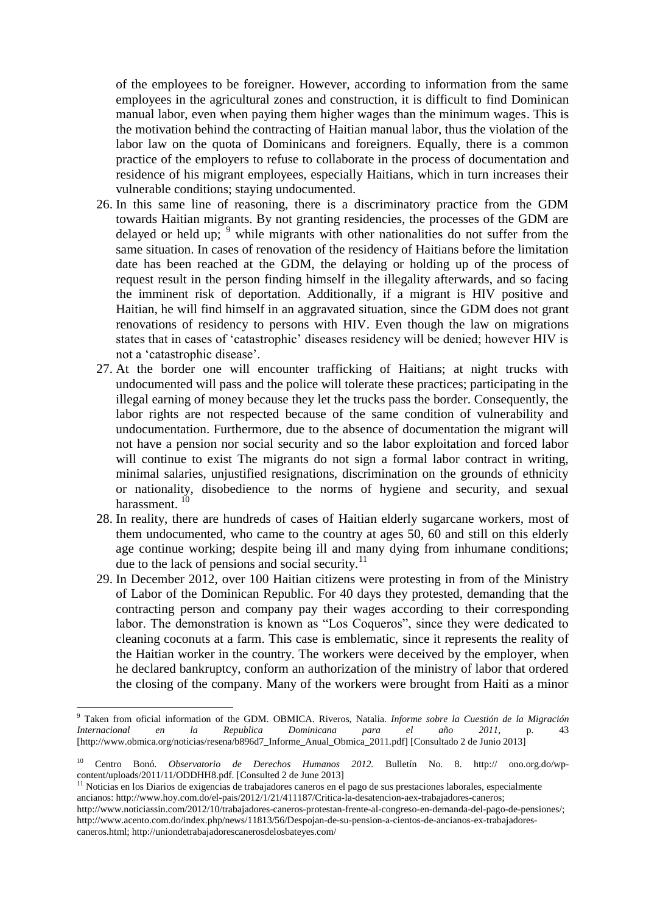of the employees to be foreigner. However, according to information from the same employees in the agricultural zones and construction, it is difficult to find Dominican manual labor, even when paying them higher wages than the minimum wages. This is the motivation behind the contracting of Haitian manual labor, thus the violation of the labor law on the quota of Dominicans and foreigners. Equally, there is a common practice of the employers to refuse to collaborate in the process of documentation and residence of his migrant employees, especially Haitians, which in turn increases their vulnerable conditions; staying undocumented.

- 26. In this same line of reasoning, there is a discriminatory practice from the GDM towards Haitian migrants. By not granting residencies, the processes of the GDM are delayed or held up;  $9$  while migrants with other nationalities do not suffer from the same situation. In cases of renovation of the residency of Haitians before the limitation date has been reached at the GDM, the delaying or holding up of the process of request result in the person finding himself in the illegality afterwards, and so facing the imminent risk of deportation. Additionally, if a migrant is HIV positive and Haitian, he will find himself in an aggravated situation, since the GDM does not grant renovations of residency to persons with HIV. Even though the law on migrations states that in cases of 'catastrophic' diseases residency will be denied; however HIV is not a 'catastrophic disease'.
- 27. At the border one will encounter trafficking of Haitians; at night trucks with undocumented will pass and the police will tolerate these practices; participating in the illegal earning of money because they let the trucks pass the border. Consequently, the labor rights are not respected because of the same condition of vulnerability and undocumentation. Furthermore, due to the absence of documentation the migrant will not have a pension nor social security and so the labor exploitation and forced labor will continue to exist The migrants do not sign a formal labor contract in writing, minimal salaries, unjustified resignations, discrimination on the grounds of ethnicity or nationality, disobedience to the norms of hygiene and security, and sexual harassment.  $10$
- 28. In reality, there are hundreds of cases of Haitian elderly sugarcane workers, most of them undocumented, who came to the country at ages 50, 60 and still on this elderly age continue working; despite being ill and many dying from inhumane conditions; due to the lack of pensions and social security. $^{11}$
- 29. In December 2012, over 100 Haitian citizens were protesting in from of the Ministry of Labor of the Dominican Republic. For 40 days they protested, demanding that the contracting person and company pay their wages according to their corresponding labor. The demonstration is known as "Los Coqueros", since they were dedicated to cleaning coconuts at a farm. This case is emblematic, since it represents the reality of the Haitian worker in the country. The workers were deceived by the employer, when he declared bankruptcy, conform an authorization of the ministry of labor that ordered the closing of the company. Many of the workers were brought from Haiti as a minor

.

 $11$  Noticias en los Diarios de exigencias de trabajadores caneros en el pago de sus prestaciones laborales, especialmente ancianos: [http://www.hoy.com.do/el-pais/2012/1/21/411187/Critica-la-desatencion-aex-trabajadores-caneros;](http://www.hoy.com.do/el-pais/2012/1/21/411187/Critica-la-desatencion-aex-trabajadores-caneros) [http://www.noticiassin.com/2012/10/trabajadores-caneros-protestan-frente-al-congreso-en-demanda-del-pago-de-pensiones/;](http://www.noticiassin.com/2012/10/trabajadores-caneros-protestan-frente-al-congreso-en-demanda-del-pago-de-pensiones/) [http://www.acento.com.do/index.php/news/11813/56/Despojan-de-su-pension-a-cientos-de-ancianos-ex-trabajadores](http://www.acento.com.do/index.php/news/11813/56/Despojan-de-su-pension-a-cientos-de-ancianos-ex-trabajadores-caneros.html)[caneros.html;](http://www.acento.com.do/index.php/news/11813/56/Despojan-de-su-pension-a-cientos-de-ancianos-ex-trabajadores-caneros.html)<http://uniondetrabajadorescanerosdelosbateyes.com/>

<sup>9</sup> Taken from oficial information of the GDM. OBMICA. Riveros, Natalia. *Informe sobre la Cuestión de la Migración Internacional en la Republica Dominicana para el año 2011,* p. 43 [\[http://www.obmica.org/noticias/resena/b896d7\\_Informe\\_Anual\\_Obmica\\_2011.pdf\]](http://www.obmica.org/noticias/resena/b896d7_Informe_Anual_Obmica_2011.pdf) [Consultado 2 de Junio 2013]

<sup>10</sup> Centro Bonó. *Observatorio de Derechos Humanos 2012.* Bulletín No. 8. http:// [ono.org.do/wp](http://bono.org.do/wp-content/uploads/2011/11/ODDHH8.pdf)[content/uploads/2011/11/ODDHH8.pdf.](http://bono.org.do/wp-content/uploads/2011/11/ODDHH8.pdf) [Consulted 2 de June 2013]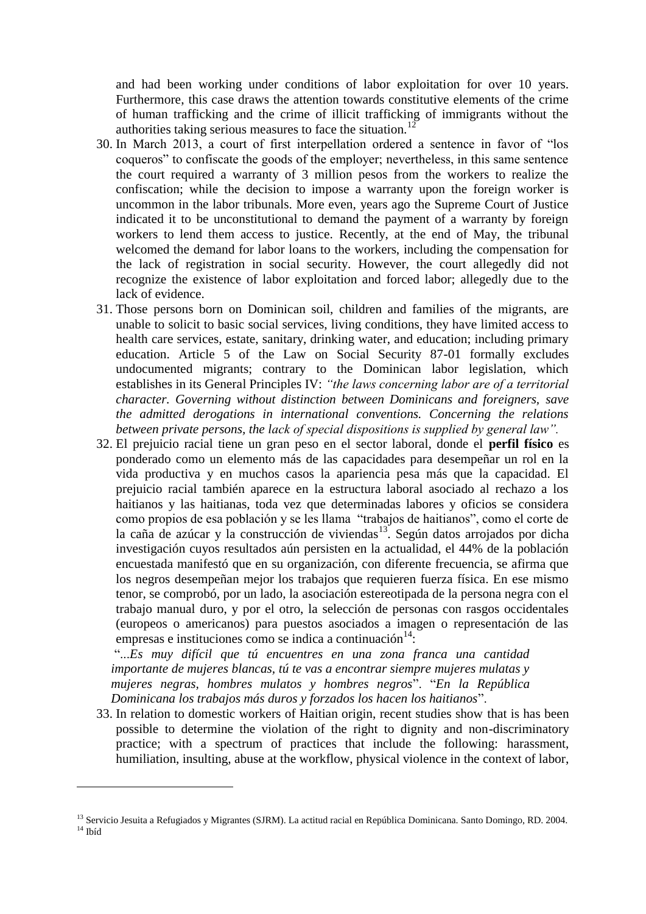and had been working under conditions of labor exploitation for over 10 years. Furthermore, this case draws the attention towards constitutive elements of the crime of human trafficking and the crime of illicit trafficking of immigrants without the authorities taking serious measures to face the situation.<sup>12</sup>

- 30. In March 2013, a court of first interpellation ordered a sentence in favor of "los coqueros" to confiscate the goods of the employer; nevertheless, in this same sentence the court required a warranty of 3 million pesos from the workers to realize the confiscation; while the decision to impose a warranty upon the foreign worker is uncommon in the labor tribunals. More even, years ago the Supreme Court of Justice indicated it to be unconstitutional to demand the payment of a warranty by foreign workers to lend them access to justice. Recently, at the end of May, the tribunal welcomed the demand for labor loans to the workers, including the compensation for the lack of registration in social security. However, the court allegedly did not recognize the existence of labor exploitation and forced labor; allegedly due to the lack of evidence.
- 31. Those persons born on Dominican soil, children and families of the migrants, are unable to solicit to basic social services, living conditions, they have limited access to health care services, estate, sanitary, drinking water, and education; including primary education. Article 5 of the Law on Social Security 87-01 formally excludes undocumented migrants; contrary to the Dominican labor legislation, which establishes in its General Principles IV: *"the laws concerning labor are of a territorial character. Governing without distinction between Dominicans and foreigners, save the admitted derogations in international conventions. Concerning the relations between private persons, the lack of special dispositions is supplied by general law".*
- 32. El prejuicio racial tiene un gran peso en el sector laboral, donde el **perfil físico** es ponderado como un elemento más de las capacidades para desempeñar un rol en la vida productiva y en muchos casos la apariencia pesa más que la capacidad. El prejuicio racial también aparece en la estructura laboral asociado al rechazo a los haitianos y las haitianas, toda vez que determinadas labores y oficios se considera como propios de esa población y se les llama "trabajos de haitianos", como el corte de la caña de azúcar y la construcción de viviendas $\frac{13}{13}$ . Según datos arrojados por dicha investigación cuyos resultados aún persisten en la actualidad, el 44% de la población encuestada manifestó que en su organización, con diferente frecuencia, se afirma que los negros desempeñan mejor los trabajos que requieren fuerza física. En ese mismo tenor, se comprobó, por un lado, la asociación estereotipada de la persona negra con el trabajo manual duro, y por el otro, la selección de personas con rasgos occidentales (europeos o americanos) para puestos asociados a imagen o representación de las empresas e instituciones como se indica a continuación $14$ :

"...*Es muy difícil que tú encuentres en una zona franca una cantidad importante de mujeres blancas, tú te vas a encontrar siempre mujeres mulatas y mujeres negras, hombres mulatos y hombres negros*". "*En la República Dominicana los trabajos más duros y forzados los hacen los haitianos*".

33. In relation to domestic workers of Haitian origin, recent studies show that is has been possible to determine the violation of the right to dignity and non-discriminatory practice; with a spectrum of practices that include the following: harassment, humiliation, insulting, abuse at the workflow, physical violence in the context of labor,

1

<sup>&</sup>lt;sup>13</sup> Servicio Jesuita a Refugiados y Migrantes (SJRM). La actitud racial en República Dominicana. Santo Domingo, RD. 2004.  $14$  Ibíd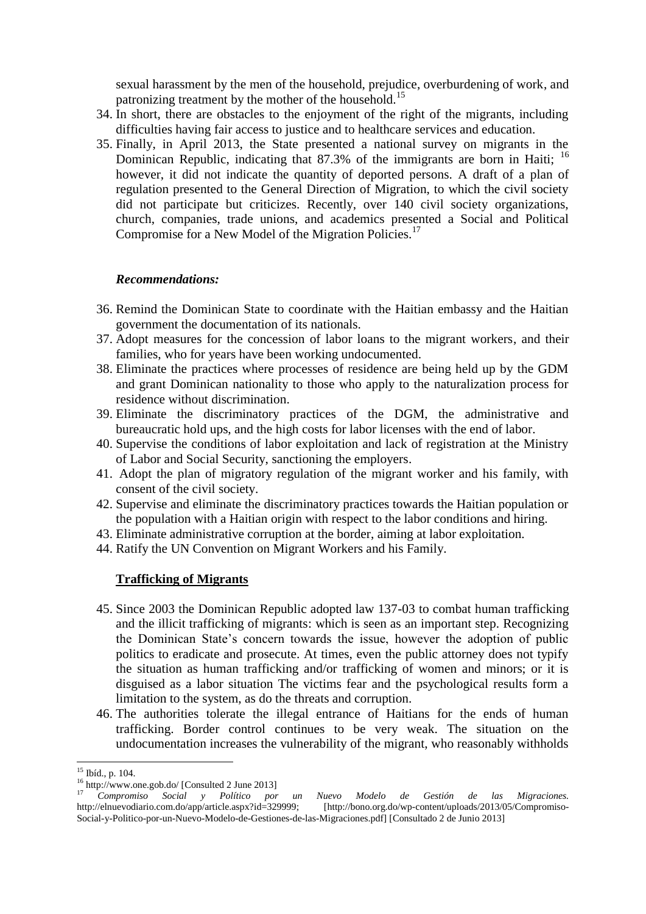sexual harassment by the men of the household, prejudice, overburdening of work, and patronizing treatment by the mother of the household.<sup>15</sup>

- 34. In short, there are obstacles to the enjoyment of the right of the migrants, including difficulties having fair access to justice and to healthcare services and education.
- 35. Finally, in April 2013, the State presented a national survey on migrants in the Dominican Republic, indicating that 87.3% of the immigrants are born in Haiti;  $^{16}$ however, it did not indicate the quantity of deported persons. A draft of a plan of regulation presented to the General Direction of Migration, to which the civil society did not participate but criticizes. Recently, over 140 civil society organizations, church, companies, trade unions, and academics presented a Social and Political Compromise for a New Model of the Migration Policies.<sup>17</sup>

### *Recommendations:*

- 36. Remind the Dominican State to coordinate with the Haitian embassy and the Haitian government the documentation of its nationals.
- 37. Adopt measures for the concession of labor loans to the migrant workers, and their families, who for years have been working undocumented.
- 38. Eliminate the practices where processes of residence are being held up by the GDM and grant Dominican nationality to those who apply to the naturalization process for residence without discrimination.
- 39. Eliminate the discriminatory practices of the DGM, the administrative and bureaucratic hold ups, and the high costs for labor licenses with the end of labor.
- 40. Supervise the conditions of labor exploitation and lack of registration at the Ministry of Labor and Social Security, sanctioning the employers.
- 41. Adopt the plan of migratory regulation of the migrant worker and his family, with consent of the civil society.
- 42. Supervise and eliminate the discriminatory practices towards the Haitian population or the population with a Haitian origin with respect to the labor conditions and hiring.
- 43. Eliminate administrative corruption at the border, aiming at labor exploitation.
- 44. Ratify the UN Convention on Migrant Workers and his Family.

#### **Trafficking of Migrants**

- 45. Since 2003 the Dominican Republic adopted law 137-03 to combat human trafficking and the illicit trafficking of migrants: which is seen as an important step. Recognizing the Dominican State's concern towards the issue, however the adoption of public politics to eradicate and prosecute. At times, even the public attorney does not typify the situation as human trafficking and/or trafficking of women and minors; or it is disguised as a labor situation The victims fear and the psychological results form a limitation to the system, as do the threats and corruption.
- 46. The authorities tolerate the illegal entrance of Haitians for the ends of human trafficking. Border control continues to be very weak. The situation on the undocumentation increases the vulnerability of the migrant, who reasonably withholds

<sup>.</sup> <sup>15</sup> Ibíd., p. 104.

<sup>16</sup> <http://www.one.gob.do/> [Consulted 2 June 2013]

<sup>17</sup> *Compromiso Social y Político por un Nuevo Modelo de Gestión de las Migraciones.* [\[http://bono.org.do/wp-content/uploads/2013/05/Compromiso-](http://bono.org.do/wp-content/uploads/2013/05/Compromiso-Social-y-Politico-por-un-Nuevo-Modelo-de-Gestiones-de-las-Migraciones.pdf)[Social-y-Politico-por-un-Nuevo-Modelo-de-Gestiones-de-las-Migraciones.pdf\]](http://bono.org.do/wp-content/uploads/2013/05/Compromiso-Social-y-Politico-por-un-Nuevo-Modelo-de-Gestiones-de-las-Migraciones.pdf) [Consultado 2 de Junio 2013]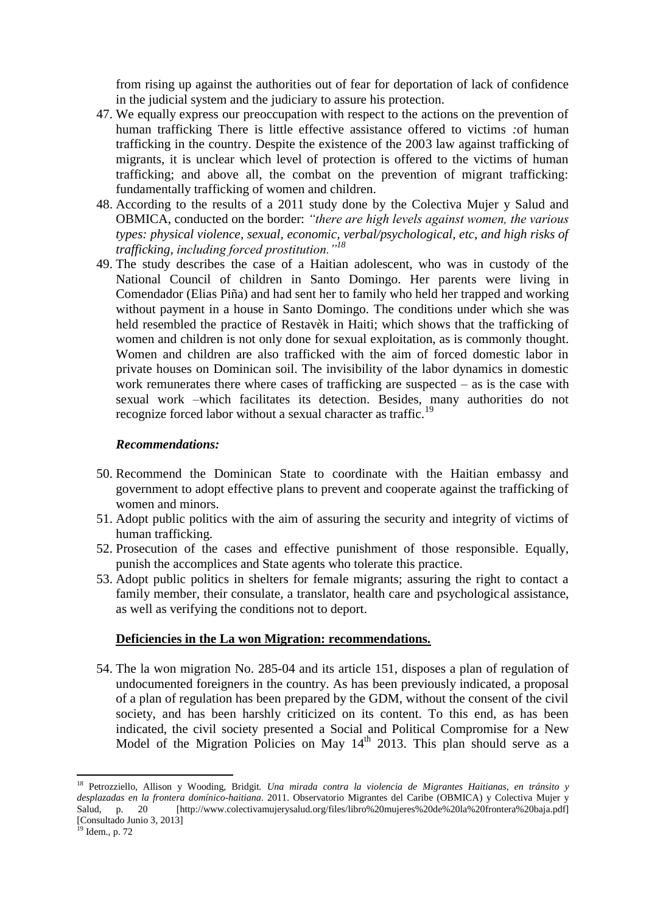from rising up against the authorities out of fear for deportation of lack of confidence in the judicial system and the judiciary to assure his protection.

- 47. We equally express our preoccupation with respect to the actions on the prevention of human trafficking There is little effective assistance offered to victims *:*of human trafficking in the country. Despite the existence of the 2003 law against trafficking of migrants, it is unclear which level of protection is offered to the victims of human trafficking; and above all, the combat on the prevention of migrant trafficking: fundamentally trafficking of women and children.
- 48. According to the results of a 2011 study done by the Colectiva Mujer y Salud and OBMICA, conducted on the border: *"there are high levels against women, the various types: physical violence, sexual, economic, verbal/psychological, etc, and high risks of trafficking, including forced prostitution."<sup>18</sup>*
- 49. The study describes the case of a Haitian adolescent, who was in custody of the National Council of children in Santo Domingo. Her parents were living in Comendador (Elias Piña) and had sent her to family who held her trapped and working without payment in a house in Santo Domingo. The conditions under which she was held resembled the practice of Restavèk in Haiti; which shows that the trafficking of women and children is not only done for sexual exploitation, as is commonly thought. Women and children are also trafficked with the aim of forced domestic labor in private houses on Dominican soil. The invisibility of the labor dynamics in domestic work remunerates there where cases of trafficking are suspected – as is the case with sexual work –which facilitates its detection. Besides, many authorities do not recognize forced labor without a sexual character as traffic.<sup>19</sup>

### *Recommendations:*

- 50. Recommend the Dominican State to coordinate with the Haitian embassy and government to adopt effective plans to prevent and cooperate against the trafficking of women and minors.
- 51. Adopt public politics with the aim of assuring the security and integrity of victims of human trafficking.
- 52. Prosecution of the cases and effective punishment of those responsible. Equally, punish the accomplices and State agents who tolerate this practice.
- 53. Adopt public politics in shelters for female migrants; assuring the right to contact a family member, their consulate, a translator, health care and psychological assistance, as well as verifying the conditions not to deport.

#### **Deficiencies in the La won Migration: recommendations.**

54. The la won migration No. 285-04 and its article 151, disposes a plan of regulation of undocumented foreigners in the country. As has been previously indicated, a proposal of a plan of regulation has been prepared by the GDM, without the consent of the civil society, and has been harshly criticized on its content. To this end, as has been indicated, the civil society presented a Social and Political Compromise for a New Model of the Migration Policies on May  $14<sup>th</sup>$  2013. This plan should serve as a

1

<sup>18</sup> Petrozziello, Allison y Wooding, Bridgit*. Una mirada contra la violencia de Migrantes Haitianas, en tránsito y desplazadas en la frontera domínico-haitiana*. 2011. Observatorio Migrantes del Caribe (OBMICA) y Colectiva Mujer y Salud, p. 20 [http://www.colectivamujerysalud.org/files/libro%20mujeres%20de%20la%20frontera%20baja.pdf] [Consultado Junio 3, 2013]

 $19$  Idem., p. 72